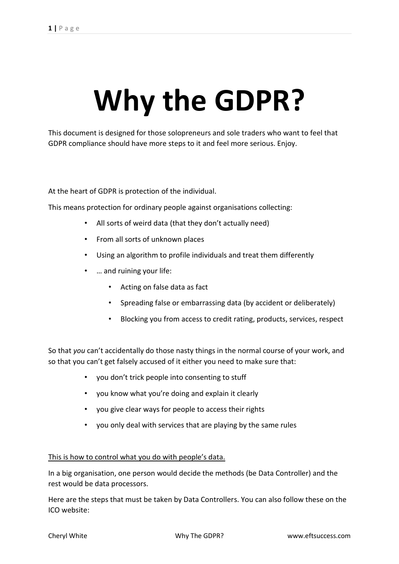# **Why the GDPR?**

This document is designed for those solopreneurs and sole traders who want to feel that GDPR compliance should have more steps to it and feel more serious. Enjoy.

At the heart of GDPR is protection of the individual.

This means protection for ordinary people against organisations collecting:

- All sorts of weird data (that they don't actually need)
- From all sorts of unknown places
- Using an algorithm to profile individuals and treat them differently
- … and ruining your life:
	- Acting on false data as fact
	- Spreading false or embarrassing data (by accident or deliberately)
	- Blocking you from access to credit rating, products, services, respect

So that *you* can't accidentally do those nasty things in the normal course of your work, and so that you can't get falsely accused of it either you need to make sure that:

- you don't trick people into consenting to stuff
- you know what you're doing and explain it clearly
- you give clear ways for people to access their rights
- you only deal with services that are playing by the same rules

# This is how to control what you do with people's data.

In a big organisation, one person would decide the methods (be Data Controller) and the rest would be data processors.

Here are the steps that must be taken by Data Controllers. You can also follow these on the ICO website: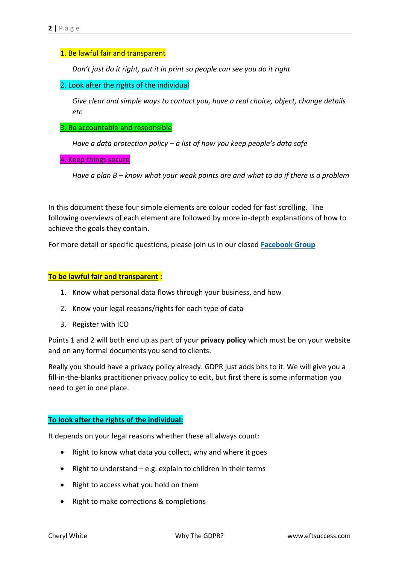# 1. Be lawful fair and transparent

*Don't just do it right, put it in print so people can see you do it right*

#### 2. Look after the rights of the individual

*Give clear and simple ways to contact you, have a real choice, object, change details etc*

#### 3. Be accountable and responsible

*Have a data protection policy – a list of how you keep people's data safe*

4. Keep things secure

*Have a plan B – know what your weak points are and what to do if there is a problem*

In this document these four simple elements are colour coded for fast scrolling. The following overviews of each element are followed by more in-depth explanations of how to achieve the goals they contain.

For more detail or specific questions, please join us in our closed **[Facebook Group](https://www.facebook.com/groups/457816977988455/)**

#### **To be lawful fair and transparent :**

- 1. Know what personal data flows through your business, and how
- 2. Know your legal reasons/rights for each type of data
- 3. Register with ICO

Points 1 and 2 will both end up as part of your **privacy policy** which must be on your website and on any formal documents you send to clients.

Really you should have a privacy policy already. GDPR just adds bits to it. We will give you a fill-in-the-blanks practitioner privacy policy to edit, but first there is some information you need to get in one place.

#### **To look after the rights of the individual:**

It depends on your legal reasons whether these all always count:

- Right to know what data you collect, why and where it goes
- Right to understand  $-e.g.$  explain to children in their terms
- Right to access what you hold on them
- Right to make corrections & completions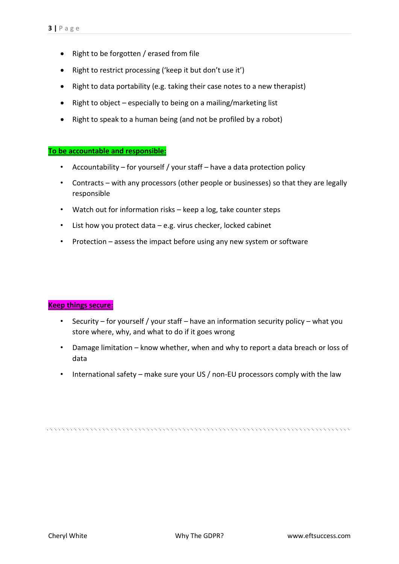- Right to be forgotten / erased from file
- Right to restrict processing ('keep it but don't use it')
- Right to data portability (e.g. taking their case notes to a new therapist)
- Right to object especially to being on a mailing/marketing list
- Right to speak to a human being (and not be profiled by a robot)

# **To be accountable and responsible:**

- Accountability for yourself / your staff have a data protection policy
- Contracts with any processors (other people or businesses) so that they are legally responsible
- Watch out for information risks keep a log, take counter steps
- List how you protect data e.g. virus checker, locked cabinet
- Protection assess the impact before using any new system or software

# **Keep things secure:**

- Security for yourself / your staff have an information security policy what you store where, why, and what to do if it goes wrong
- Damage limitation know whether, when and why to report a data breach or loss of data
- International safety make sure your US / non-EU processors comply with the law

te de la decembre de la decembre de la decembre de la decembre de la decembre de la decembre de la decembre de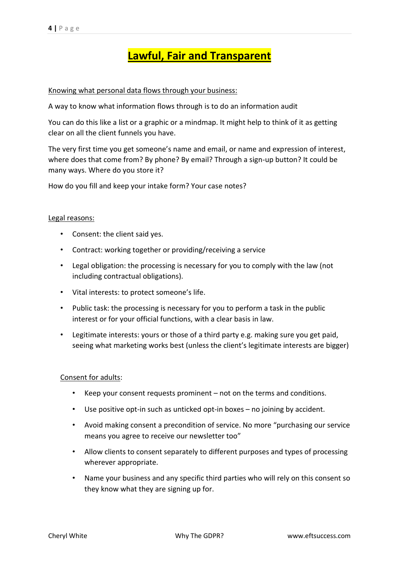# **Lawful, Fair and Transparent**

#### Knowing what personal data flows through your business:

A way to know what information flows through is to do an information audit

You can do this like a list or a graphic or a mindmap. It might help to think of it as getting clear on all the client funnels you have.

The very first time you get someone's name and email, or name and expression of interest, where does that come from? By phone? By email? Through a sign-up button? It could be many ways. Where do you store it?

How do you fill and keep your intake form? Your case notes?

#### Legal reasons:

- Consent: the client said yes.
- Contract: working together or providing/receiving a service
- Legal obligation: the processing is necessary for you to comply with the law (not including contractual obligations).
- Vital interests: to protect someone's life.
- Public task: the processing is necessary for you to perform a task in the public interest or for your official functions, with a clear basis in law.
- Legitimate interests: yours or those of a third party e.g. making sure you get paid, seeing what marketing works best (unless the client's legitimate interests are bigger)

#### Consent for adults:

- Keep your consent requests prominent not on the terms and conditions.
- Use positive opt-in such as unticked opt-in boxes no joining by accident.
- Avoid making consent a precondition of service. No more "purchasing our service means you agree to receive our newsletter too"
- Allow clients to consent separately to different purposes and types of processing wherever appropriate.
- Name your business and any specific third parties who will rely on this consent so they know what they are signing up for.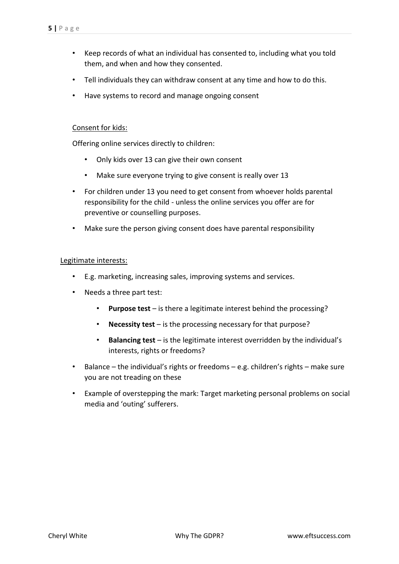- Keep records of what an individual has consented to, including what you told them, and when and how they consented.
- Tell individuals they can withdraw consent at any time and how to do this.
- Have systems to record and manage ongoing consent

#### Consent for kids:

Offering online services directly to children:

- Only kids over 13 can give their own consent
- Make sure everyone trying to give consent is really over 13
- For children under 13 you need to get consent from whoever holds parental responsibility for the child - unless the online services you offer are for preventive or counselling purposes.
- Make sure the person giving consent does have parental responsibility

#### Legitimate interests:

- E.g. marketing, increasing sales, improving systems and services.
- Needs a three part test:
	- **Purpose test** is there a legitimate interest behind the processing?
	- **Necessity test** is the processing necessary for that purpose?
	- **Balancing test** is the legitimate interest overridden by the individual's interests, rights or freedoms?
- Balance the individual's rights or freedoms e.g. children's rights make sure you are not treading on these
- Example of overstepping the mark: Target marketing personal problems on social media and 'outing' sufferers.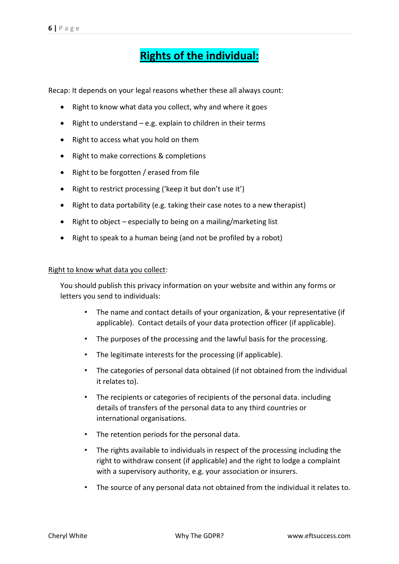# **Rights of the individual:**

Recap: It depends on your legal reasons whether these all always count:

- Right to know what data you collect, why and where it goes
- Right to understand e.g. explain to children in their terms
- Right to access what you hold on them
- Right to make corrections & completions
- Right to be forgotten / erased from file
- Right to restrict processing ('keep it but don't use it')
- Right to data portability (e.g. taking their case notes to a new therapist)
- Right to object especially to being on a mailing/marketing list
- Right to speak to a human being (and not be profiled by a robot)

#### Right to know what data you collect:

You should publish this privacy information on your website and within any forms or letters you send to individuals:

- The name and contact details of your organization, & your representative (if applicable). Contact details of your data protection officer (if applicable).
- The purposes of the processing and the lawful basis for the processing.
- The legitimate interests for the processing (if applicable).
- The categories of personal data obtained (if not obtained from the individual it relates to).
- The recipients or categories of recipients of the personal data. including details of transfers of the personal data to any third countries or international organisations.
- The retention periods for the personal data.
- The rights available to individuals in respect of the processing including the right to withdraw consent (if applicable) and the right to lodge a complaint with a supervisory authority, e.g. your association or insurers.
- The source of any personal data not obtained from the individual it relates to.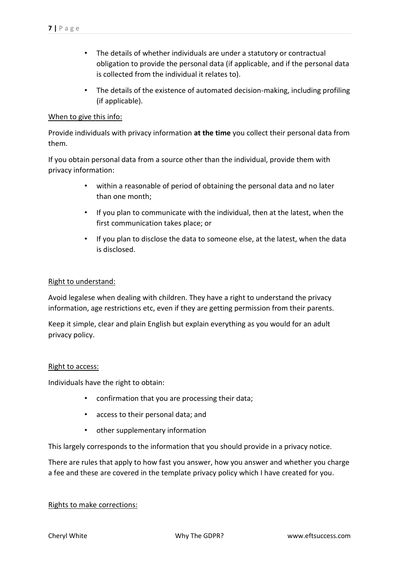- The details of whether individuals are under a statutory or contractual obligation to provide the personal data (if applicable, and if the personal data is collected from the individual it relates to).
- The details of the existence of automated decision-making, including profiling (if applicable).

# When to give this info:

Provide individuals with privacy information **at the time** you collect their personal data from them.

If you obtain personal data from a source other than the individual, provide them with privacy information:

- within a reasonable of period of obtaining the personal data and no later than one month;
- If you plan to communicate with the individual, then at the latest, when the first communication takes place; or
- If you plan to disclose the data to someone else, at the latest, when the data is disclosed.

# Right to understand:

Avoid legalese when dealing with children. They have a right to understand the privacy information, age restrictions etc, even if they are getting permission from their parents.

Keep it simple, clear and plain English but explain everything as you would for an adult privacy policy.

#### Right to access:

Individuals have the right to obtain:

- confirmation that you are processing their data;
- access to their personal data; and
- other supplementary information

This largely corresponds to the information that you should provide in a privacy notice.

There are rules that apply to how fast you answer, how you answer and whether you charge a fee and these are covered in the template privacy policy which I have created for you.

# Rights to make corrections: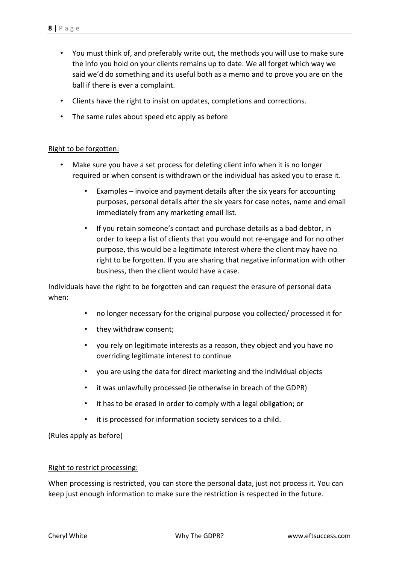- You must think of, and preferably write out, the methods you will use to make sure the info you hold on your clients remains up to date. We all forget which way we said we'd do something and its useful both as a memo and to prove you are on the ball if there is ever a complaint.
- Clients have the right to insist on updates, completions and corrections.
- The same rules about speed etc apply as before

#### Right to be forgotten:

- Make sure you have a set process for deleting client info when it is no longer required or when consent is withdrawn or the individual has asked you to erase it.
	- Examples invoice and payment details after the six years for accounting purposes, personal details after the six years for case notes, name and email immediately from any marketing email list.
	- If you retain someone's contact and purchase details as a bad debtor, in order to keep a list of clients that you would not re-engage and for no other purpose, this would be a legitimate interest where the client may have no right to be forgotten. If you are sharing that negative information with other business, then the client would have a case.

Individuals have the right to be forgotten and can request the erasure of personal data when:

- no longer necessary for the original purpose you collected/ processed it for
- they withdraw consent;
- you rely on legitimate interests as a reason, they object and you have no overriding legitimate interest to continue
- you are using the data for direct marketing and the individual objects
- it was unlawfully processed (ie otherwise in breach of the GDPR)
- it has to be erased in order to comply with a legal obligation; or
- it is processed for information society services to a child.

(Rules apply as before)

#### Right to restrict processing:

When processing is restricted, you can store the personal data, just not process it. You can keep just enough information to make sure the restriction is respected in the future.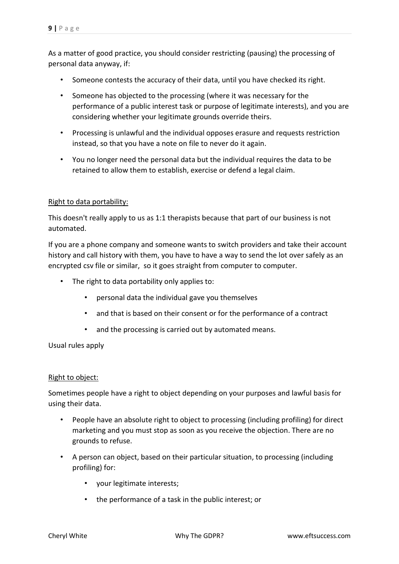As a matter of good practice, you should consider restricting (pausing) the processing of personal data anyway, if:

- Someone contests the accuracy of their data, until you have checked its right.
- Someone has objected to the processing (where it was necessary for the performance of a public interest task or purpose of legitimate interests), and you are considering whether your legitimate grounds override theirs.
- Processing is unlawful and the individual opposes erasure and requests restriction instead, so that you have a note on file to never do it again.
- You no longer need the personal data but the individual requires the data to be retained to allow them to establish, exercise or defend a legal claim.

# Right to data portability:

This doesn't really apply to us as 1:1 therapists because that part of our business is not automated.

If you are a phone company and someone wants to switch providers and take their account history and call history with them, you have to have a way to send the lot over safely as an encrypted csv file or similar, so it goes straight from computer to computer.

- The right to data portability only applies to:
	- personal data the individual gave you themselves
	- and that is based on their consent or for the performance of a contract
	- and the processing is carried out by automated means.

Usual rules apply

#### Right to object:

Sometimes people have a right to object depending on your purposes and lawful basis for using their data.

- People have an absolute right to object to processing (including profiling) for direct marketing and you must stop as soon as you receive the objection. There are no grounds to refuse.
- A person can object, based on their particular situation, to processing (including profiling) for:
	- your legitimate interests;
	- the performance of a task in the public interest; or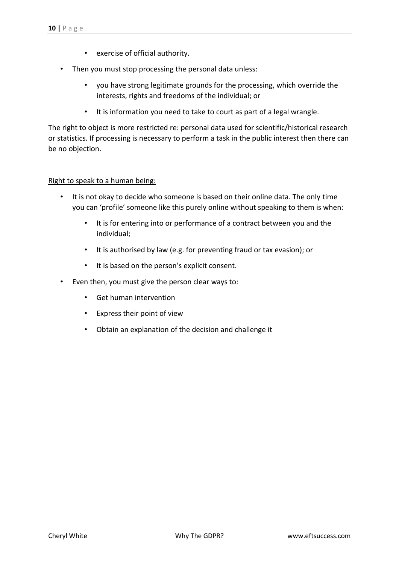- exercise of official authority.
- Then you must stop processing the personal data unless:
	- you have strong legitimate grounds for the processing, which override the interests, rights and freedoms of the individual; or
	- It is information you need to take to court as part of a legal wrangle.

The right to object is more restricted re: personal data used for scientific/historical research or statistics. If processing is necessary to perform a task in the public interest then there can be no objection.

# Right to speak to a human being:

- It is not okay to decide who someone is based on their online data. The only time you can 'profile' someone like this purely online without speaking to them is when:
	- It is for entering into or performance of a contract between you and the individual;
	- It is authorised by law (e.g. for preventing fraud or tax evasion); or
	- It is based on the person's explicit consent.
- Even then, you must give the person clear ways to:
	- Get human intervention
	- Express their point of view
	- Obtain an explanation of the decision and challenge it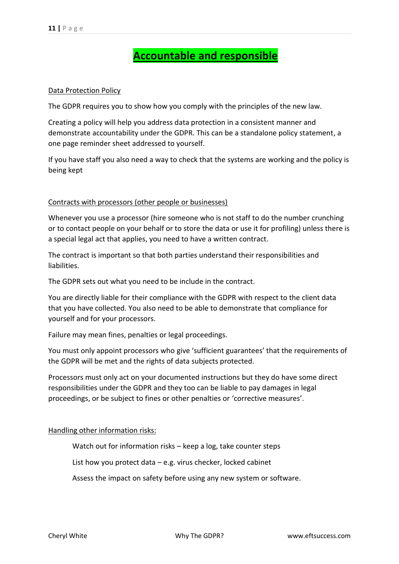# **Accountable and responsible**

#### Data Protection Policy

The GDPR requires you to show how you comply with the principles of the new law.

Creating a policy will help you address data protection in a consistent manner and demonstrate accountability under the GDPR. This can be a standalone policy statement, a one page reminder sheet addressed to yourself.

If you have staff you also need a way to check that the systems are working and the policy is being kept

# Contracts with processors (other people or businesses)

Whenever you use a processor (hire someone who is not staff to do the number crunching or to contact people on your behalf or to store the data or use it for profiling) unless there is a special legal act that applies, you need to have a written contract.

The contract is important so that both parties understand their responsibilities and liabilities.

The GDPR sets out what you need to be include in the contract.

You are directly liable for their compliance with the GDPR with respect to the client data that you have collected. You also need to be able to demonstrate that compliance for yourself and for your processors.

Failure may mean fines, penalties or legal proceedings.

You must only appoint processors who give 'sufficient guarantees' that the requirements of the GDPR will be met and the rights of data subjects protected.

Processors must only act on your documented instructions but they do have some direct responsibilities under the GDPR and they too can be liable to pay damages in legal proceedings, or be subject to fines or other penalties or 'corrective measures'.

#### Handling other information risks:

Watch out for information risks – keep a log, take counter steps

List how you protect data – e.g. virus checker, locked cabinet

Assess the impact on safety before using any new system or software.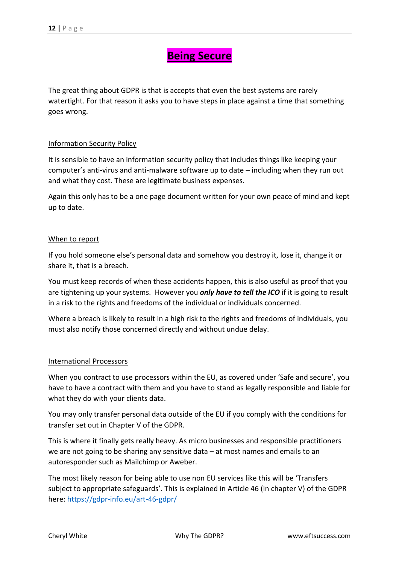# **Being Secure**

The great thing about GDPR is that is accepts that even the best systems are rarely watertight. For that reason it asks you to have steps in place against a time that something goes wrong.

# Information Security Policy

It is sensible to have an information security policy that includes things like keeping your computer's anti-virus and anti-malware software up to date – including when they run out and what they cost. These are legitimate business expenses.

Again this only has to be a one page document written for your own peace of mind and kept up to date.

#### When to report

If you hold someone else's personal data and somehow you destroy it, lose it, change it or share it, that is a breach.

You must keep records of when these accidents happen, this is also useful as proof that you are tightening up your systems. However you *only have to tell the ICO* if it is going to result in a risk to the rights and freedoms of the individual or individuals concerned.

Where a breach is likely to result in a high risk to the rights and freedoms of individuals, you must also notify those concerned directly and without undue delay.

#### International Processors

When you contract to use processors within the EU, as covered under 'Safe and secure', you have to have a contract with them and you have to stand as legally responsible and liable for what they do with your clients data.

You may only transfer personal data outside of the EU if you comply with the conditions for transfer set out in Chapter V of the GDPR.

This is where it finally gets really heavy. As micro businesses and responsible practitioners we are not going to be sharing any sensitive data – at most names and emails to an autoresponder such as Mailchimp or Aweber.

The most likely reason for being able to use non EU services like this will be 'Transfers subject to appropriate safeguards'. This is explained in Article 46 (in chapter V) of the GDPR here: <https://gdpr-info.eu/art-46-gdpr/>